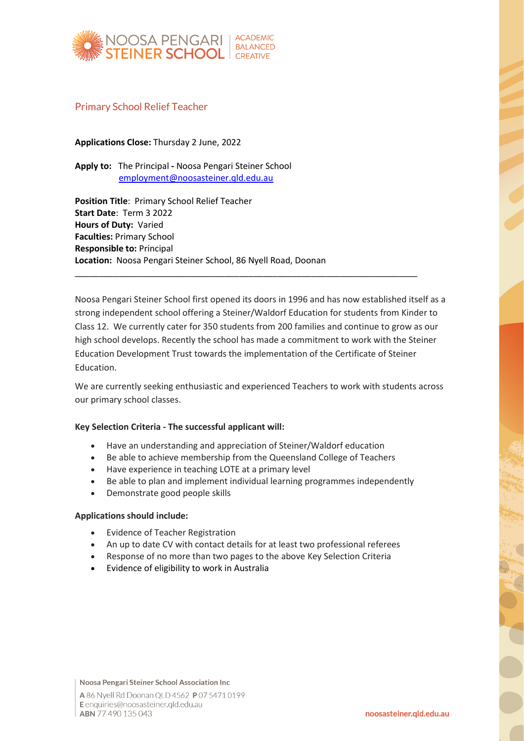

## Primary School Relief Teacher

**Applications Close:** Thursday 2 June, 2022

**Apply to:** The Principal **-** Noosa Pengari Steiner School [employment@noosasteiner.qld.edu.au](mailto:employment@noosasteiner.qld.edu.au)

**Position Title**: Primary School Relief Teacher **Start Date**: Term 3 2022 **Hours of Duty:** Varied **Faculties:** Primary School **Responsible to:** Principal **Location:** Noosa Pengari Steiner School, 86 Nyell Road, Doonan

Noosa Pengari Steiner School first opened its doors in 1996 and has now established itself as a strong independent school offering a Steiner/Waldorf Education for students from Kinder to Class 12. We currently cater for 350 students from 200 families and continue to grow as our high school develops. Recently the school has made a commitment to work with the Steiner Education Development Trust towards the implementation of the Certificate of Steiner Education.

\_\_\_\_\_\_\_\_\_\_\_\_\_\_\_\_\_\_\_\_\_\_\_\_\_\_\_\_\_\_\_\_\_\_\_\_\_\_\_\_\_\_\_\_\_\_\_\_\_\_\_\_\_\_\_\_\_\_\_\_\_\_\_\_\_\_\_\_\_\_\_

We are currently seeking enthusiastic and experienced Teachers to work with students across our primary school classes.

### **Key Selection Criteria - The successful applicant will:**

- Have an understanding and appreciation of Steiner/Waldorf education
- Be able to achieve membership from the Queensland College of Teachers
- Have experience in teaching LOTE at a primary level
- Be able to plan and implement individual learning programmes independently
- Demonstrate good people skills

#### **Applications should include:**

- Evidence of Teacher Registration
- An up to date CV with contact details for at least two professional referees
- Response of no more than two pages to the above Key Selection Criteria
- Evidence of eligibility to work in Australia

Noosa Pengari Steiner School Association Inc